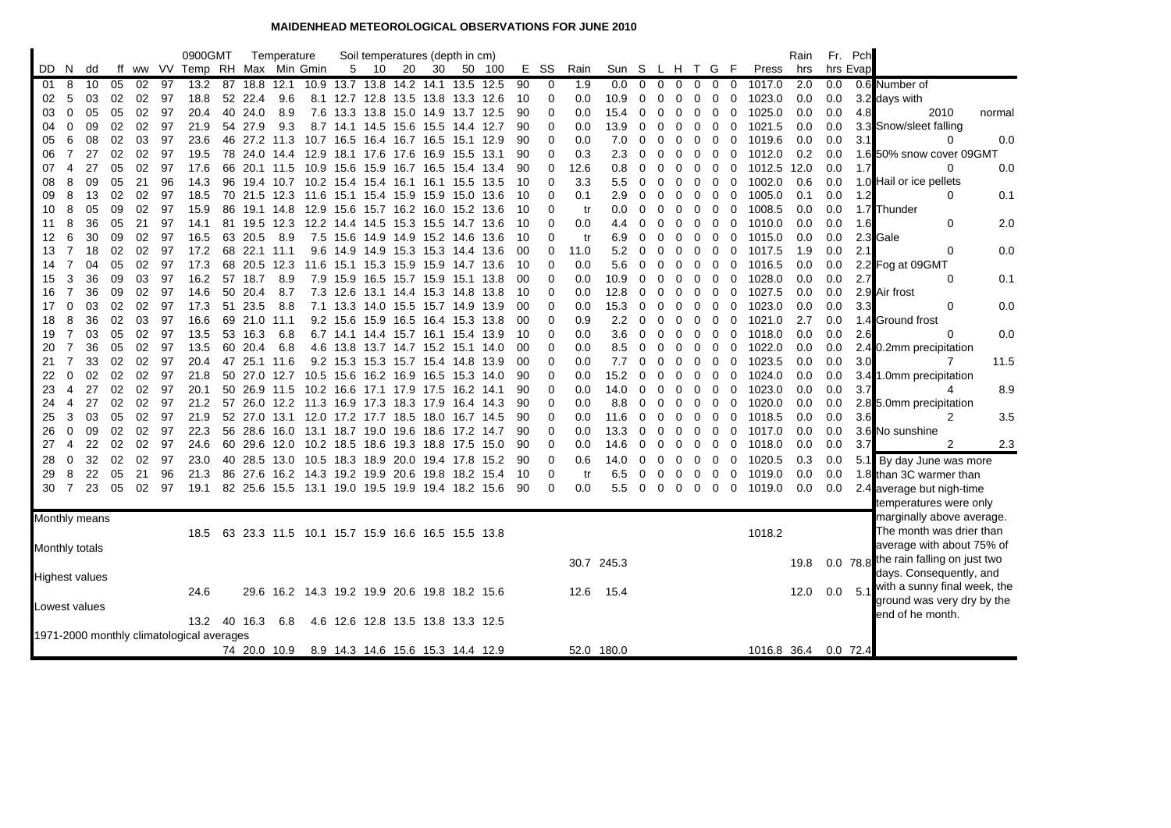## **MAIDENHEAD METEOROLOGICAL OBSERVATIONS FOR JUNE 2010**

|                       |                |          |          |          |          | 0900GMT                                   |          |              | Temperature  |                                                 |                                    |      | Soil temperatures (depth in cm)  |      |           |        |          |             |           |            |                |             |               |             |                      |                  | Rain       |            | Fr. Pch    |                                       |
|-----------------------|----------------|----------|----------|----------|----------|-------------------------------------------|----------|--------------|--------------|-------------------------------------------------|------------------------------------|------|----------------------------------|------|-----------|--------|----------|-------------|-----------|------------|----------------|-------------|---------------|-------------|----------------------|------------------|------------|------------|------------|---------------------------------------|
| DD.                   | N.             | dd       |          |          |          | ff ww VV Temp RH Max Min Gmin             |          |              |              |                                                 | 5                                  | 10   | 20                               | 30   |           | 50 100 |          | E SS        | Rain      | Sun S      |                |             |               | L H T G     | - F                  | Press            | hrs        |            | hrs Evap   |                                       |
| 01                    | 8              | 10       | 05       | 02       | 97       | 13.2                                      | 87       | 18.8         | 12.1         |                                                 | 10.9 13.7 13.8 14.2 14.1           |      |                                  |      | 13.5      | 12.5   | 90       | 0           | 1.9       | 0.0        | $\overline{0}$ | $\mathbf 0$ | 0             | $\mathbf 0$ | 0<br>0               | 1017.0           | 2.0        | 0.0        |            | 0.6 Number of                         |
| 02                    | 5              | 03       | 02       | 02       | 97       | 18.8                                      |          | 52 22.4      | 9.6          |                                                 | 8.1 12.7 12.8 13.5 13.8 13.3 12.6  |      |                                  |      |           |        | 10       | $\mathbf 0$ | 0.0       | 10.9       | $\Omega$       | 0           | 0             | 0           | 0<br>0               | 1023.0           | 0.0        | 0.0        |            | 3.2 days with                         |
| 03                    | $\mathbf 0$    | 05       | 05       | 02       | 97       | 20.4                                      | 40       | 24.0         | 8.9          | 7.6                                             | 13.3 13.8 15.0 14.9 13.7 12.5      |      |                                  |      |           |        | 90       | 0           | 0.0       | 15.4       | 0              | 0           | 0             | 0           | 0<br>0               | 1025.0           | 0.0        | 0.0        | 4.8        | 2010<br>normal                        |
| 04                    | $\Omega$       | 09       | 02       | 02       | 97       | 21.9                                      | 54       | 27.9         | 9.3          | 8.7                                             | 14.1                               | 14.5 | 15.6                             | 15.5 | 14.4      | 12.7   | 90       | $\mathbf 0$ | 0.0       | 13.9       | $\Omega$       | 0           | 0             | 0           | 0<br>0               | 1021.5           | 0.0        | 0.0        |            | 3.3 Snow/sleet falling                |
| 05                    | 6              | 08       | 02       | 03       | 97       | 23.6                                      | 46       | 27.2         | 11.3         |                                                 | 10.7 16.5                          |      | 16.4 16.7 16.5                   |      | 15.1 12.9 |        | 90       | 0           | 0.0       | 7.0        | $\Omega$       | 0           | 0             | 0           | 0<br>0               | 1019.6           | 0.0        | 0.0        | 3.1        | 0.0<br>$\Omega$                       |
| 06                    | 7              | 27       | 02       | 02       | 97       | 19.5                                      |          | 78 24.0 14.4 |              |                                                 | 12.9 18.1 17.6 17.6 16.9 15.5 13.1 |      |                                  |      |           |        | 90       | 0           | 0.3       | 2.3        | 0              | 0           | 0             | 0           | 0<br>0               | 1012.0           | 0.2        | 0.0        |            | 1.6 50% snow cover 09GMT              |
| 07                    | 4              | 27       | 05       | 02       | 97       | 17.6                                      | 66       | 20.1         | 11.5         |                                                 | 10.9 15.6 15.9 16.7                |      |                                  | 16.5 | 15.4      | -13.4  | 90       | $\mathbf 0$ | 12.6      | 0.8        | 0              | 0           | $\Omega$      | 0           | $\overline{0}$<br>0  | 1012.5           | 12.0       | 0.0        | 1.7        | $\Omega$<br>0.0                       |
| 08                    | 8              | 09       | 05       | 21       | 96       | 14.3                                      | 96       | 19.4         | 10.7         |                                                 | 10.2 15.4 15.4 16.1                |      |                                  | 16.1 | 15.5      | 13.5   | 10       | 0           | 3.3       | 5.5        | 0              | 0           | 0             | 0           | 0<br>0               | 1002.0           | 0.6        | 0.0        |            | 1.0 Hail or ice pellets               |
| 09                    | 8              | 13       | 02       | 02       | 97       | 18.5                                      |          | 70 21.5 12.3 |              |                                                 | 11.6 15.1 15.4 15.9 15.9 15.0 13.6 |      |                                  |      |           |        | 10       | 0           | 0.1       | 2.9        | 0              | 0           | 0             | 0           | 0<br>0               | 1005.0           | 0.1        | 0.0        | 1.2        | $\Omega$<br>0.1                       |
| 10<br>11              | 8<br>8         | 05<br>36 | 09<br>05 | 02<br>21 | 97<br>97 | 15.9<br>14.1                              | 86<br>81 | 19.1<br>19.5 | 14.8<br>12.3 | 12.9                                            | 15.6<br>12.2 14.4 14.5             |      | 15.7 16.2 16.0 15.2 13.6<br>15.3 | 15.5 |           | 13.6   | 10<br>10 | 0<br>0      | tr<br>0.0 | 0.0        | 0<br>0         | 0<br>0      | 0<br>$\Omega$ | 0<br>0      | 0<br>0<br>0<br>0     | 1008.5<br>1010.0 | 0.0<br>0.0 | 0.0<br>0.0 | 1.6        | 1.7 Thunder<br>2.0<br>$\Omega$        |
| 12                    | 6              | 30       | 09       | 02       | 97       | 16.5                                      |          | 63 20.5      | 8.9          |                                                 | 7.5 15.6 14.9 14.9 15.2 14.6 13.6  |      |                                  |      | 14.7      |        | 10       | 0           | tr        | 4.4<br>6.9 | 0              | $\Omega$    | 0             | 0           | 0<br>0               | 1015.0           | 0.0        | 0.0        |            | 2.3 Gale                              |
| 13                    | 7              | 18       | 02       | 02       | 97       | 17.2                                      |          | 68 22.1 11.1 |              |                                                 | 9.6 14.9 14.9 15.3 15.3 14.4 13.6  |      |                                  |      |           |        | 00       | 0           | 11.0      | 5.2        | 0              | 0           | 0             | 0           | 0<br>0               | 1017.5           | 1.9        | 0.0        | 2.1        | 0.0<br>0                              |
| 14                    | 7              | 04       | 05       | 02       | 97       | 17.3                                      | 68       | 20.5         | 12.3         | 11.6                                            |                                    |      | 15.1 15.3 15.9                   | 15.9 | 14.7      | -13.6  | 10       | 0           | 0.0       | 5.6        | $\Omega$       | 0           | 0             | 0           | 0<br>0               | 1016.5           | 0.0        | 0.0        |            | 2.2 Fog at 09GMT                      |
| 15                    | 3              | 36       | 09       | 03       | 97       | 16.2                                      |          | 57 18.7      | 8.9          | 7.9                                             | 15.9 16.5 15.7 15.9 15.1 13.8      |      |                                  |      |           |        | 00       | 0           | 0.0       | 10.9       | 0              | 0           | 0             | 0           | 0<br>0               | 1028.0           | 0.0        | 0.0        | 2.7        | 0.1<br>0                              |
| 16                    | 7              | 36       | 09       | 02       | 97       | 14.6                                      |          | 50 20.4      | 8.7          |                                                 | 7.3 12.6 13.1 14.4 15.3 14.8 13.8  |      |                                  |      |           |        | 10       | 0           | 0.0       | 12.8       | 0              | 0           | 0             | 0           | 0<br>0               | 1027.5           | 0.0        | 0.0        |            | 2.9 Air frost                         |
| 17                    | $\mathbf 0$    | 03       | 02       | 02       | 97       | 17.3                                      | 51       | 23.5         | 8.8          | 7.1                                             | 13.3 14.0 15.5 15.7 14.9           |      |                                  |      |           | 13.9   | 00       | $\mathbf 0$ | 0.0       | 15.3       | 0              | 0           | 0             | 0           | 0<br>0               | 1023.0           | 0.0        | 0.0        | 3.3        | 0.0<br>0                              |
| 18                    | 8              | 36       | 02       | 03       | 97       | 16.6                                      | 69       | 21.0         | 11.1         |                                                 | 9.2 15.6                           |      | 15.9 16.5 16.4 15.3 13.8         |      |           |        | 00       | $\mathbf 0$ | 0.9       | 2.2        | $\Omega$       | 0           | 0             | 0           | 0<br>0               | 1021.0           | 2.7        | 0.0        |            | 1.4 Ground frost                      |
| 19                    | 7              | 03       | 05       | 02       | 97       | 13.5                                      |          | 53 16.3      | 6.8          |                                                 | 6.7 14.1 14.4 15.7 16.1 15.4 13.9  |      |                                  |      |           |        | 10       | 0           | 0.0       | 3.6        | 0              | 0           | 0             | 0           | 0<br>0               | 1018.0           | 0.0        | 0.0        | 2.6        | 0.0<br>$\Omega$                       |
| 20                    | 7              | 36       | 05       | 02       | 97       | 13.5                                      | 60       | 20.4         | 6.8          | 4.6                                             | 13.8                               |      | 13.7 14.7 15.2                   |      | 15.1 14.0 |        | 00       | 0           | 0.0       | 8.5        | 0              | 0           | 0             | 0           | 0<br>0               | 1022.0           | 0.0        | 0.0        |            | 2.4 0.2mm precipitation               |
| 21                    | $\overline{7}$ | 33       | 02       | 02       | 97       | 20.4                                      | 47       | 25.1 11.6    |              |                                                 | 9.2 15.3 15.3 15.7 15.4 14.8       |      |                                  |      |           | 13.9   | 00       | 0           | 0.0       | 7.7        | 0              | 0           | $\Omega$      | 0           | 0<br>0               | 1023.5           | 0.0        | 0.0        | 3.0        | 11.5<br>7                             |
| 22                    | $\Omega$       | 02       | 02       | 02       | 97       | 21.8                                      |          | 50 27.0 12.7 |              |                                                 | 10.5 15.6 16.2 16.9 16.5 15.3 14.0 |      |                                  |      |           |        | 90       | $\Omega$    | 0.0       | 15.2       | $\Omega$       | 0           | 0             | 0           | 0<br>0               | 1024.0           | 0.0        | 0.0        |            | 3.4 1.0mm precipitation               |
| 23                    | 4              | 27       | 02       | 02       | 97       | 20.1                                      |          | 50 26.9 11.5 |              |                                                 | 10.2 16.6 17.1 17.9 17.5 16.2 14.1 |      |                                  |      |           |        | 90       | 0           | 0.0       | 14.0       | 0              | 0           | 0             | 0           | 0<br>0               | 1023.0           | 0.0        | 0.0        | 3.7        | 8.9<br>4                              |
| 24                    | 4              | 27       | 02       | 02       | 97       | 21.2                                      | 57       | 26.0         | 12.2         |                                                 | 11.3 16.9 17.3 18.3 17.9           |      |                                  |      | 16.4      | 14.3   | 90       | $\mathbf 0$ | 0.0       | 8.8        | $\Omega$       | 0           | 0             | 0           | 0<br>0               | 1020.0           | 0.0        | 0.0        |            | 2.8 5.0mm precipitation               |
| 25                    | 3              | 03       | 05       | 02       | 97       | 21.9                                      |          | 52 27.0 13.1 |              |                                                 | 12.0 17.2 17.7 18.5 18.0 16.7 14.5 |      |                                  |      |           |        | 90       | $\mathbf 0$ | 0.0       | 11.6       | $\Omega$       | 0           | 0             | 0           | 0<br>0               | 1018.5           | 0.0        | 0.0        | 3.6        | 3.5<br>$\overline{2}$                 |
| 26                    | $\mathbf 0$    | 09       | 02       | 02       | 97       | 22.3                                      |          | 56 28.6 16.0 |              |                                                 | 13.1 18.7 19.0 19.6 18.6 17.2 14.7 |      |                                  |      |           |        | 90       | 0           | 0.0       | 13.3       | 0              | 0           | 0             | 0           | 0<br>0               | 1017.0           | 0.0        | 0.0        |            | 3.6 No sunshine                       |
| 27                    | $\overline{4}$ | 22       | 02       | 02       | 97       | 24.6                                      | 60       | 29.6         | 12.0         |                                                 | 10.2 18.5 18.6 19.3 18.8           |      |                                  |      | 17.5      | -15.0  | 90       | $\mathbf 0$ | 0.0       | 14.6       | 0              | 0           | 0             | 0           | 0<br>0               | 1018.0           | 0.0        | 0.0        | 3.7        | 2.3                                   |
| 28                    | $\Omega$       | 32       | 02       | 02       | 97       | 23.0                                      | 40       | 28.5 13.0    |              |                                                 | 10.5 18.3 18.9 20.0 19.4 17.8      |      |                                  |      |           | 15.2   | 90       | 0           | 0.6       | 14.0       | 0              | 0           | 0             | 0           | $\Omega$<br>$\Omega$ | 1020.5           | 0.3        | 0.0        |            | 5.1 By day June was more              |
| 29                    | 8              | 22       | 05       | 21       | 96       | 21.3                                      |          | 86 27.6 16.2 |              |                                                 | 14.3 19.2 19.9 20.6 19.8 18.2 15.4 |      |                                  |      |           |        | 10       | $\mathbf 0$ | tr        | 6.5        | 0              | 0           | 0             | 0           | 0<br>0               | 1019.0           | 0.0        | 0.0        |            | 1.8 than 3C warmer than               |
| 30                    | 7              | 23       | 05       | 02       | 97       | 19.1                                      |          |              |              | 82 25.6 15.5 13.1 19.0 19.5 19.9 19.4 18.2 15.6 |                                    |      |                                  |      |           |        | 90       | 0           | 0.0       | $5.5\,$    | $\Omega$       | 0           | $\mathbf 0$   | 0           | $\mathbf 0$<br>0     | 1019.0           | 0.0        | 0.0        |            | 2.4 average but nigh-time             |
|                       |                |          |          |          |          |                                           |          |              |              |                                                 |                                    |      |                                  |      |           |        |          |             |           |            |                |             |               |             |                      |                  |            |            |            | temperatures were only                |
| Monthly means         |                |          |          |          |          |                                           |          |              |              |                                                 |                                    |      |                                  |      |           |        |          |             |           |            |                |             |               |             |                      |                  |            |            |            | marginally above average.             |
|                       |                |          |          |          |          | 18.5                                      | 63       |              |              | 23.3 11.5 10.1 15.7 15.9 16.6 16.5 15.5 13.8    |                                    |      |                                  |      |           |        |          |             |           |            |                |             |               |             |                      | 1018.2           |            |            |            | The month was drier than              |
| Monthly totals        |                |          |          |          |          |                                           |          |              |              |                                                 |                                    |      |                                  |      |           |        |          |             |           |            |                |             |               |             |                      |                  |            |            |            | average with about 75% of             |
|                       |                |          |          |          |          |                                           |          |              |              |                                                 |                                    |      |                                  |      |           |        |          |             |           | 30.7 245.3 |                |             |               |             |                      |                  | 19.8       |            |            | 0.0 78.8 the rain falling on just two |
| <b>Highest values</b> |                |          |          |          |          |                                           |          |              |              |                                                 |                                    |      |                                  |      |           |        |          |             |           |            |                |             |               |             |                      |                  |            |            |            | days. Consequently, and               |
|                       |                |          |          |          |          | 24.6                                      |          |              |              | 29.6 16.2 14.3 19.2 19.9 20.6 19.8 18.2 15.6    |                                    |      |                                  |      |           |        |          |             | 12.6      | 15.4       |                |             |               |             |                      |                  | 12.0       |            | 0.0 5.1    | with a sunny final week, the          |
| Lowest values         |                |          |          |          |          |                                           |          |              |              |                                                 |                                    |      |                                  |      |           |        |          |             |           |            |                |             |               |             |                      |                  |            |            |            | ground was very dry by the            |
|                       |                |          |          |          |          | 13.2                                      |          | 40 16.3      | 6.8          |                                                 | 4.6 12.6 12.8 13.5 13.8 13.3 12.5  |      |                                  |      |           |        |          |             |           |            |                |             |               |             |                      |                  |            |            |            | end of he month.                      |
|                       |                |          |          |          |          | 1971-2000 monthly climatological averages |          |              |              |                                                 |                                    |      |                                  |      |           |        |          |             |           |            |                |             |               |             |                      |                  |            |            |            |                                       |
|                       |                |          |          |          |          |                                           |          | 74 20.0 10.9 |              |                                                 | 8.9 14.3 14.6 15.6 15.3 14.4 12.9  |      |                                  |      |           |        |          |             |           | 52.0 180.0 |                |             |               |             |                      | 1016.8 36.4      |            |            | $0.0$ 72.4 |                                       |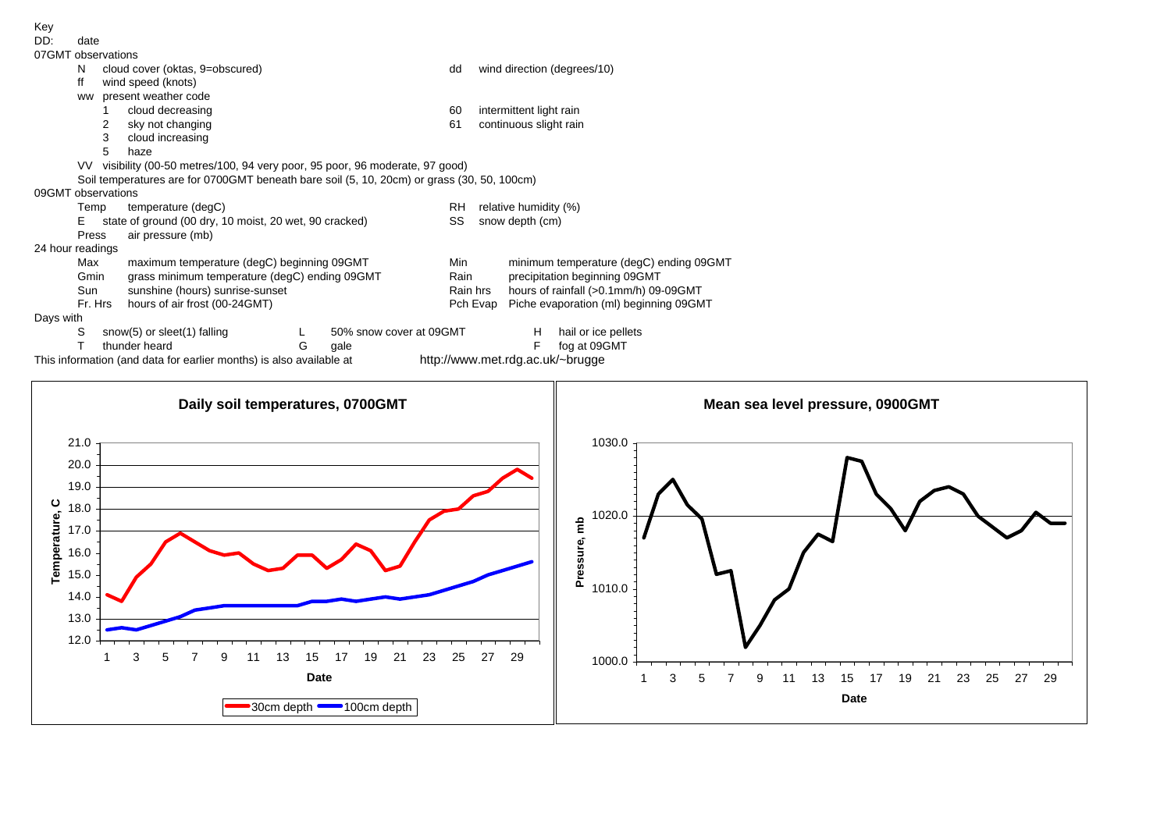| ney                                                                               |                                                                                            |   |                         |          |                               |                                         |  |  |  |  |  |  |  |
|-----------------------------------------------------------------------------------|--------------------------------------------------------------------------------------------|---|-------------------------|----------|-------------------------------|-----------------------------------------|--|--|--|--|--|--|--|
| DD:                                                                               | date                                                                                       |   |                         |          |                               |                                         |  |  |  |  |  |  |  |
|                                                                                   | 07GMT observations                                                                         |   |                         |          |                               |                                         |  |  |  |  |  |  |  |
|                                                                                   | cloud cover (oktas, 9=obscured)<br>N                                                       |   |                         | dd       |                               | wind direction (degrees/10)             |  |  |  |  |  |  |  |
|                                                                                   | ff<br>wind speed (knots)                                                                   |   |                         |          |                               |                                         |  |  |  |  |  |  |  |
|                                                                                   |                                                                                            |   |                         |          |                               |                                         |  |  |  |  |  |  |  |
|                                                                                   | present weather code<br><b>WW</b>                                                          |   |                         |          |                               |                                         |  |  |  |  |  |  |  |
|                                                                                   | cloud decreasing                                                                           |   |                         | 60       | intermittent light rain       |                                         |  |  |  |  |  |  |  |
|                                                                                   | sky not changing                                                                           |   |                         | 61       | continuous slight rain        |                                         |  |  |  |  |  |  |  |
|                                                                                   | cloud increasing<br>3                                                                      |   |                         |          |                               |                                         |  |  |  |  |  |  |  |
|                                                                                   | 5<br>haze                                                                                  |   |                         |          |                               |                                         |  |  |  |  |  |  |  |
| visibility (00-50 metres/100, 94 very poor, 95 poor, 96 moderate, 97 good)<br>VV. |                                                                                            |   |                         |          |                               |                                         |  |  |  |  |  |  |  |
|                                                                                   | Soil temperatures are for 0700GMT beneath bare soil (5, 10, 20cm) or grass (30, 50, 100cm) |   |                         |          |                               |                                         |  |  |  |  |  |  |  |
|                                                                                   | 09GMT observations                                                                         |   |                         |          |                               |                                         |  |  |  |  |  |  |  |
|                                                                                   | temperature (degC)<br>Temp                                                                 |   |                         |          | relative humidity (%)<br>RH   |                                         |  |  |  |  |  |  |  |
|                                                                                   |                                                                                            |   |                         |          | SS                            |                                         |  |  |  |  |  |  |  |
|                                                                                   | E.<br>state of ground (00 dry, 10 moist, 20 wet, 90 cracked)                               |   |                         |          | snow depth (cm)               |                                         |  |  |  |  |  |  |  |
|                                                                                   | Press<br>air pressure (mb)                                                                 |   |                         |          |                               |                                         |  |  |  |  |  |  |  |
|                                                                                   | 24 hour readings                                                                           |   |                         |          |                               |                                         |  |  |  |  |  |  |  |
|                                                                                   | maximum temperature (degC) beginning 09GMT<br>Max                                          |   |                         | Min      |                               | minimum temperature (degC) ending 09GMT |  |  |  |  |  |  |  |
|                                                                                   | grass minimum temperature (degC) ending 09GMT<br>Gmin                                      |   |                         | Rain     | precipitation beginning 09GMT |                                         |  |  |  |  |  |  |  |
|                                                                                   | Sun<br>sunshine (hours) sunrise-sunset                                                     |   |                         | Rain hrs |                               | hours of rainfall (>0.1mm/h) 09-09GMT   |  |  |  |  |  |  |  |
|                                                                                   | Fr. Hrs<br>hours of air frost (00-24GMT)                                                   |   |                         | Pch Evap |                               | Piche evaporation (ml) beginning 09GMT  |  |  |  |  |  |  |  |
| Days with                                                                         |                                                                                            |   |                         |          |                               |                                         |  |  |  |  |  |  |  |
|                                                                                   | S<br>snow(5) or sleet(1) falling                                                           |   | 50% snow cover at 09GMT |          | н                             | hail or ice pellets                     |  |  |  |  |  |  |  |
|                                                                                   |                                                                                            |   |                         |          |                               |                                         |  |  |  |  |  |  |  |
|                                                                                   | thunder heard                                                                              | G | gale                    |          |                               | fog at 09GMT                            |  |  |  |  |  |  |  |

This information (and data for earlier months) is also available at http://www.met.rdg.ac.uk/~brugge



 $K_{01}$